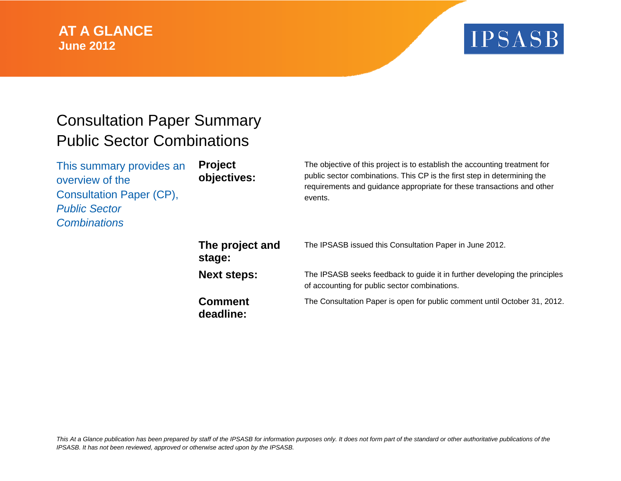## **AT A GLANCE June 2012**

# **IPSASB**

## Consultation Paper Summary Public Sector Combinations

| This summary provides an<br>overview of the<br><b>Consultation Paper (CP),</b><br><b>Public Sector</b><br><b>Combinations</b> | <b>Project</b><br>objectives: | The objective of this project is to establish the accounting treatment for<br>public sector combinations. This CP is the first step in determining the<br>requirements and guidance appropriate for these transactions and other<br>events. |
|-------------------------------------------------------------------------------------------------------------------------------|-------------------------------|---------------------------------------------------------------------------------------------------------------------------------------------------------------------------------------------------------------------------------------------|
|                                                                                                                               | The project and<br>stage:     | The IPSASB issued this Consultation Paper in June 2012.                                                                                                                                                                                     |
|                                                                                                                               | <b>Next steps:</b>            | The IPSASB seeks feedback to guide it in further developing the principles<br>of accounting for public sector combinations.                                                                                                                 |
|                                                                                                                               | <b>Comment</b><br>deadline:   | The Consultation Paper is open for public comment until October 31, 2012.                                                                                                                                                                   |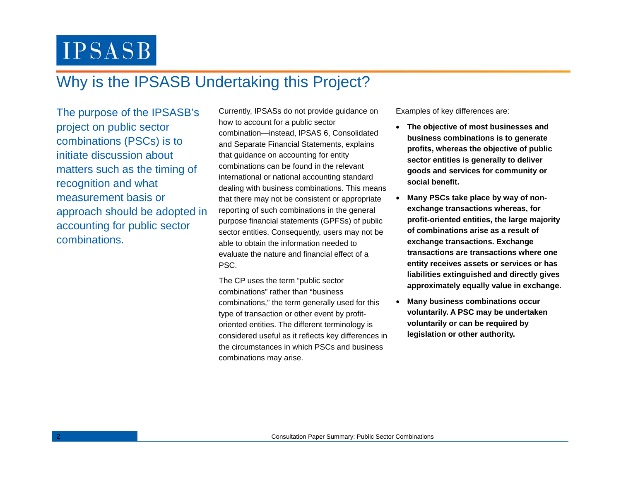## Why is the IPSASB Undertaking this Project?

The purpose of the IPSASB's project on public sector combinations (PSCs) is to initiate discussion about matters such as the timing of recognition and what measurement basis or approach should be adopted in accounting for public sector combinations.

Currently, IPSASs do not provide guidance on how to account for a public sector combination—instead, IPSAS 6, Consolidated and Separate Financial Statements, explains that guidance on accounting for entity combinations can be found in the relevant international or national accounting standard dealing with business combinations. This means that there may not be consistent or appropriate reporting of such combinations in the general purpose financial statements (GPFSs) of public sector entities. Consequently, users may not be able to obtain the information needed to evaluate the nature and financial effect of a PSC.

The CP uses the term "public sector combinations" rather than "business combinations," the term generally used for this type of transaction or other event by profitoriented entities. The different terminology is considered useful as it reflects key differences in the circumstances in which PSCs and business combinations may arise.

Examples of key differences are:

- . **The objective of most businesses and business combinations is to generate profits, whereas the objective of public sector entities is generally to deliver goods and services for community or social benefit.**
- . **Many PSCs take place by way of nonexchange transactions whereas, for profit-oriented entities, the large majority of combinations arise as a result of exchange transactions. Exchange transactions are transactions where one entity receives assets or services or has liabilities extinguished and directly gives approximately equally value in exchange.**
- . **Many business combinations occur voluntarily. A PSC may be undertaken voluntarily or can be required by legislation or other authority.**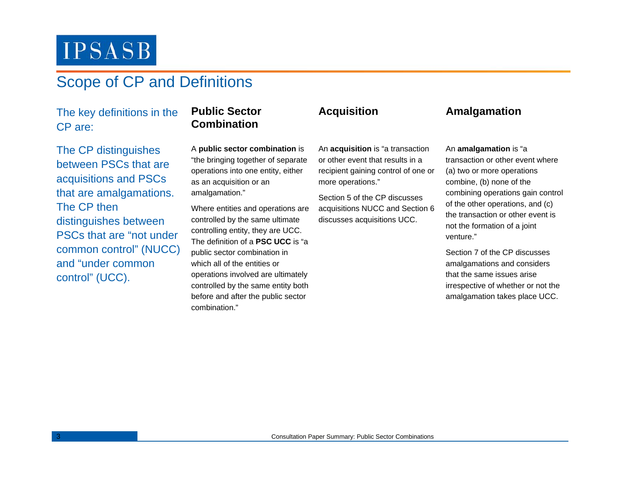## Scope of CP and Definitions

The key definitions in the CP are:

The CP distinguishes between PSCs that are acquisitions and PSCs that are amalgamations. The CP then distinguishes between PSCs that are "not under common control" (NUCC) and "under common control" (UCC).

#### **Public Sector Combination**

A **public sector combination** is "the bringing together of separate operations into one entity, either as an acquisition or an amalgamation."

Where entities and operations are controlled by the same ultimate controlling entity, they are UCC. The definition of a **PSC UCC** is "a public sector combination in which all of the entities or operations involved are ultimately controlled by the same entity both before and after the public sector combination."

An **acquisition** is "a transaction or other event that results in a recipient gaining control of one or more operations."

Section 5 of the CP discusses acquisitions NUCC and Section 6 discusses acquisitions UCC.

### **Acquisition Amalgamation**

An **amalgamation** is "a transaction or other event where

(a) two or more operations combine, (b) none of the combining operations gain control of the other operations, and (c) the transaction or other event is not the formation of a joint venture."

Section 7 of the CP discusses amalgamations and considers that the same issues arise irrespective of whether or not the amalgamation takes place UCC.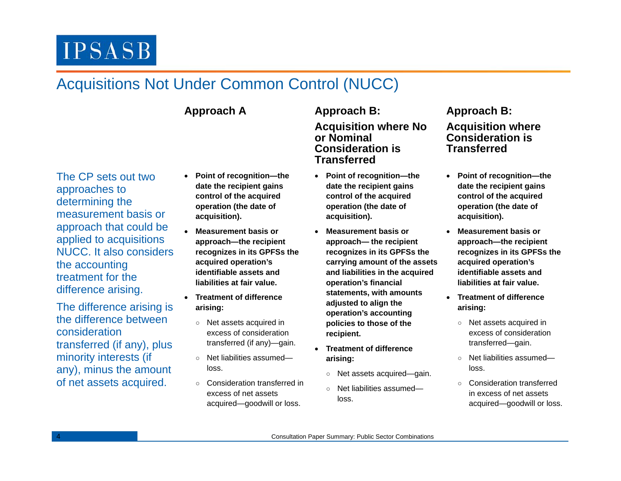## Acquisitions Not Under Common Control (NUCC)

**Approach A Approach B:** 

The CP sets out two approaches to determining the measurement basis or approach that could be applied to acquisitions NUCC. It also considers the accounting treatment for the difference arising.

The difference arising is the difference between consideration transferred (if any), plus minority interests (if any), minus the amount of net assets acquired.

- 0 **Point of recognition—the date the recipient gains control of the acquired operation (the date of acquisition).**
- 0 **Measurement basis or approach—the recipient recognizes in its GPFSs the acquired operation's identifiable assets and liabilities at fair value.**
- **Treatment of difference arising:** 
	- Net assets acquired in excess of consideration transferred (if any)—gain.
	- Net liabilities assumed loss.
	- Consideration transferred in excess of net assets acquired—goodwill or loss.

**Acquisition where No or Nominal Consideration is Transferred** 

- **Point of recognition—the date the recipient gains control of the acquired operation (the date of acquisition).**
- . **Measurement basis or approach— the recipient recognizes in its GPFSs the carrying amount of the assets and liabilities in the acquired operation's financial statements, with amounts adjusted to align the operation's accounting policies to those of the recipient.**
- **Treatment of difference arising:** 
	- Net assets acquired—gain.
	- $\circ$  Net liabilities assumedloss.

### **Approach B: Acquisition where Consideration is Transferred**

- **Point of recognition—the date the recipient gains control of the acquired operation (the date of acquisition).**
- 0 **Measurement basis or approach—the recipient recognizes in its GPFSs the acquired operation's identifiable assets and liabilities at fair value.**
- **Treatment of difference arising:** 
	- Net assets acquired in excess of consideration transferred—gain.
	- $\Omega$  Net liabilities assumedloss.
	- Consideration transferred in excess of net assets acquired—goodwill or loss.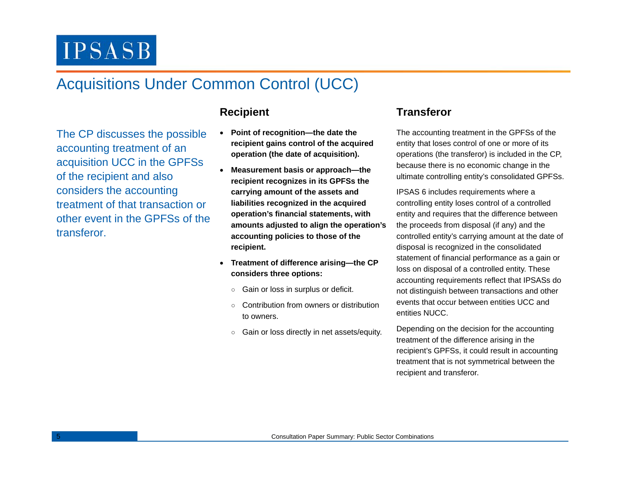## Acquisitions Under Common Control (UCC)

The CP discusses the possible accounting treatment of an acquisition UCC in the GPFSs of the recipient and also considers the accounting treatment of that transaction or other event in the GPFSs of the transferor.

- **Point of recognition—the date the recipient gains control of the acquired operation (the date of acquisition).**
- **Measurement basis or approach—the recipient recognizes in its GPFSs the carrying amount of the assets and liabilities recognized in the acquired operation's financial statements, with amounts adjusted to align the operation's accounting policies to those of the recipient.**
- **Treatment of difference arising—the CP considers three options:** 
	- Gain or loss in surplus or deficit.
	- Contribution from owners or distribution to owners.
	- Gain or loss directly in net assets/equity.

#### **Recipient Transferor**

The accounting treatment in the GPFSs of the entity that loses control of one or more of its operations (the transferor) is included in the CP, because there is no economic change in the ultimate controlling entity's consolidated GPFSs.

IPSAS 6 includes requirements where a controlling entity loses control of a controlled entity and requires that the difference between the proceeds from disposal (if any) and the controlled entity's carrying amount at the date of disposal is recognized in the consolidated statement of financial performance as a gain or loss on disposal of a controlled entity. These accounting requirements reflect that IPSASs do not distinguish between transactions and other events that occur between entities UCC and entities NUCC.

Depending on the decision for the accounting treatment of the difference arising in the recipient's GPFSs, it could result in accounting treatment that is not symmetrical between the recipient and transferor.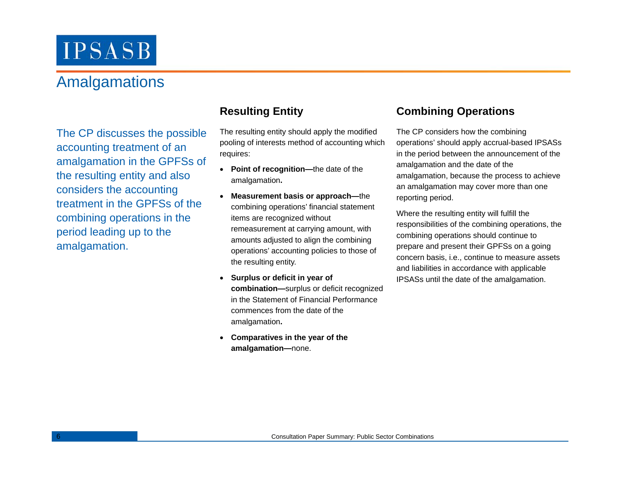## Amalgamations

The CP discusses the possible accounting treatment of an amalgamation in the GPFSs of the resulting entity and also considers the accounting treatment in the GPFSs of the combining operations in the period leading up to the amalgamation.

The resulting entity should apply the modified pooling of interests method of accounting which requires:

- **Point of recognition—**the date of the amalgamation**.**
- **Measurement basis or approach—**the combining operations' financial statement items are recognized without remeasurement at carrying amount, with amounts adjusted to align the combining operations' accounting policies to those of the resulting entity.
- **Surplus or deficit in year of combination—**surplus or deficit recognized in the Statement of Financial Performance commences from the date of the amalgamation**.**
- **Comparatives in the year of the amalgamation—**none.

### **Resulting Entity Combining Operations**

The CP considers how the combining operations' should apply accrual-based IPSASs in the period between the announcement of the amalgamation and the date of the amalgamation, because the process to achieve an amalgamation may cover more than one reporting period.

Where the resulting entity will fulfill the responsibilities of the combining operations, the combining operations should continue to prepare and present their GPFSs on a going concern basis, i.e., continue to measure assets and liabilities in accordance with applicable IPSASs until the date of the amalgamation.